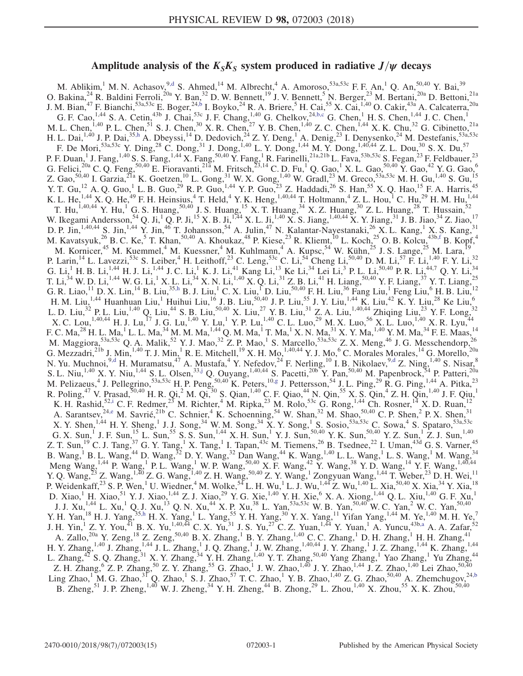# Amplitude analysis of the  $K_S K_S$  system produced in radiative  $J/\psi$  decays

<span id="page-0-8"></span><span id="page-0-7"></span><span id="page-0-6"></span><span id="page-0-5"></span><span id="page-0-4"></span><span id="page-0-3"></span><span id="page-0-2"></span><span id="page-0-1"></span><span id="page-0-0"></span>M. Ablikim,<sup>1</sup> M. N. Achasov,<sup>9[,d](#page-2-0)</sup> S. Ahmed,<sup>14</sup> M. Albrecht,<sup>4</sup> A. Amoroso,<sup>53a,53c</sup> F. F. An,<sup>1</sup> Q. An,<sup>50,40</sup> Y. Bai,<sup>39</sup> O. Bakina,  $^{24}$  R. Baldini Ferroli,  $^{20a}$  Y. Ban,  $^{32}$  D. W. Bennett,  $^{19}$  J. V. Bennett,  $^5$  N. Berger,  $^{23}$  M. Bertani,  $^{20a}$  D. Bettoni,  $^{21a}$ J. M. Bian,<sup>47</sup> F. Bianchi,<sup>53a,53c</sup> E. Boger,<sup>2[4,b](#page-2-1)</sup> I. Boyko,<sup>24</sup> R. A. Briere,<sup>5</sup> H. Cai,<sup>55</sup> X. Cai,<sup>1,40</sup> O. Cakir,<sup>43a</sup> A. Calcaterra,<sup>20a</sup> G. F. Cao, <sup>1,44</sup> S. A. Cetin,<sup>43b</sup> J. Chai,<sup>53c</sup> J. F. Chang,<sup>1,40</sup> G. Chelkov,<sup>24[,b,c](#page-2-1)</sup> G. Chen,<sup>1</sup> H. S. Chen,<sup>1,44</sup> J. C. Chen,<sup>1</sup> M. L. Chen,  $^{1,40}$  P. L. Chen,  $^{51}$  S. J. Chen,  $^{30}$  X. R. Chen,  $^{27}$  Y. B. Chen,  $^{1,40}$  Z. C. Chen,  $^{1,44}$  X. K. Chu,  $^{32}$  G. Cibinetto,  $^{21a}$ H. L. Dai,  $^{1,40}$  J. P. Dai,  $^{35,h}$  $^{35,h}$  $^{35,h}$  A. Dbeyssi,  $^{14}$  D. Dedovich,  $^{24}$  Z. Y. Deng,  $^1$  A. Denig,  $^{23}$  I. Denysenko,  $^{24}$  M. Destefanis,  $^{53a,53c}$ F. De Mori,  $53a,53c$  Y. Ding,  $28$  C. Dong,  $31$  J. Dong,  $1,40$  L. Y. Dong,  $1,44$  M. Y. Dong,  $1,40,44$  Z. L. Dou,  $30$  S. X. Du,  $57$ P. F. Duan,<sup>1</sup> J. Fang,<sup>1,40</sup> S. S. Fang,<sup>1,44</sup> X. Fang,<sup>50,40</sup> Y. Fang,<sup>1</sup> R. Farinelli,<sup>21a,21b</sup> L. Fava,<sup>53b,53c</sup> S. Fegan,<sup>23</sup> F. Feldbauer,<sup>23</sup> G. Felici,<sup>20a</sup> C. Q. Feng,<sup>50,40</sup> E. Fioravanti,<sup>21a</sup> M. Fritsch,<sup>23,14</sup> C. D. Fu,<sup>1</sup> Q. Gao,<sup>1</sup> X. L. Gao,<sup>50,40</sup> Y. Gao,<sup>42</sup> Y. G. Gao,<sup>6</sup> Z. Gao,  $50,40$  I. Garzia,  $2^{1a}$  K. Goetzen,  $^{10}$  L. Gong,  $^{31}$  W. X. Gong,  $^{1,40}$  W. Gradl,  $^{23}$  M. Greco,  $53a,53c$  M. H. Gu,  $^{1,40}$  S. Gu,  $^{15}$ Y. T. Gu,<sup>12</sup> A. Q. Guo,<sup>1</sup> L. B. Guo,<sup>29</sup> R. P. Guo,<sup>1,44</sup> Y. P. Guo,<sup>23</sup> Z. Haddadi,<sup>26</sup> S. Han,<sup>55</sup> X. Q. Hao,<sup>15</sup> F. A. Harris,<sup>45</sup> K. L. He,  $^{1,44}$  X. Q. He,  $^{49}$  F. H. Heinsius,  $^{4}$  T. Held,  $^{4}$  Y. K. Heng,  $^{1,40,44}$  T. Holtmann,  $^{4}$  Z. L. Hou,  $^{1}$  C. Hu,  $^{29}$  H. M. Hu,  $^{1,44}$ T. Hu,<sup>1,40,44</sup> Y. Hu,<sup>1</sup> G. S. Huang,<sup>50,40</sup> J. S. Huang,<sup>15</sup> X. T. Huang,<sup>34</sup> X. Z. Huang,<sup>30</sup> Z. L. Huang,<sup>28</sup> T. Hussain,<sup>52</sup> W. Ikegami Andersson,  ${}^{54}$  Q. Ji,  ${}^{1}$  Q. P. Ji,  ${}^{15}$  X. B. Ji,  ${}^{1,74}$  X. L. Ji,  ${}^{1,40}$  X. S. Jiang,  ${}^{1,40,44}$  X. Y. Jiang,  ${}^{31}$  J. B. Jiao,  ${}^{34}$  Z. Jiao,  ${}^{17}$ D. P. Jin,<sup>1,40,44</sup> S. Jin,<sup>1,44</sup> Y. Jin,<sup>46</sup> T. Johansson,<sup>54</sup> A. Julin,<sup>47</sup> N. Kalantar-Nayestanaki,<sup>26</sup> X. L. Kang,<sup>1</sup> X. S. Kang,<sup>31</sup> M. Kavatsyuk,  $^{26}$  B. C. Ke, <sup>5</sup> T. Khan,  $^{50,40}$  A. Khoukaz,  $^{48}$  P. Kiese,  $^{23}$  R. Kliemt,  $^{10}$  L. Koch,  $^{25}$  O. B. Kolcu,  $^{43b,f}$  $^{43b,f}$  $^{43b,f}$  B. Kopf,  $^{4}$ M. Kornicer,<sup>45</sup> M. Kuemmel,<sup>4</sup> M. Kuessner,<sup>4</sup> M. Kuhlmann,<sup>4</sup> A. Kupsc,<sup>54</sup> W. Kühn,<sup>25</sup> J. S. Lange,<sup>25</sup> M. Lara,<sup>19</sup> P. Larin,<sup>14</sup> L. Lavezzi,<sup>53c</sup> S. Leiber,<sup>4</sup> H. Leithoff,<sup>23</sup> C. Leng,<sup>53c</sup> C. Li,<sup>54</sup> Cheng Li,<sup>50,40</sup> D. M. Li,<sup>57</sup> F. Li,<sup>1,40</sup> F. Y. Li,<sup>32</sup> G. Li, H. B. Li,  $^{1,44}$  H. J. Li,  $^{1,44}$  J. C. Li, K. J. Li,  $^{41}$  Kang Li,  $^{13}$  Ke Li,  $^{34}$  Lei Li,  $^{3}$  P. L. Li,  $^{50,40}$  P. R. Li,  $^{44,7}$  Q. Y. Li,  $^{34}$ T. Li,<sup>34</sup> W. D. Li,<sup>1,44</sup> W. G. Li,<sup>1</sup> X. L. Li,<sup>34</sup> X. N. Li,<sup>1,40</sup> X. Q. Li,<sup>31</sup> Z. B. Li,<sup>41</sup> H. Liang,<sup>50,40</sup> Y. F. Liang,<sup>37</sup> Y. T. Liang,<sup>25</sup> G. R. Liao,  $^{11}$  D. X. Lin,  $^{14}$  B. Liu,  $^{35,h}$  $^{35,h}$  $^{35,h}$  B. J. Liu,  $^{1}$  C. X. Liu,  $^{1}$  D. Liu,  $^{50,40}$  F. H. Liu,  $^{36}$  Fang Liu,  $^{1}$  Feng Liu,  $^{6}$  H. B. Liu,  $^{12}$ H. M. Liu,<sup>1,44</sup> Huanhuan Liu,<sup>1</sup> Huihui Liu,<sup>16</sup> J. B. Liu,<sup>50,40</sup> J. P. Liu,<sup>55</sup> J. Y. Liu,<sup>1,44</sup> K. Liu,<sup>42</sup> K. Y. Liu,<sup>28</sup> Ke Liu,<sup>6</sup> L. D. Liu,<sup>32</sup> P. L. Liu,<sup>1,40</sup> Q. Liu,<sup>44</sup> S. B. Liu,<sup>50,40</sup> X. Liu,<sup>27</sup> Y. B. Liu,<sup>31</sup> Z. A. Liu,<sup>1,40,44</sup> Zhiqing Liu,<sup>23</sup> Y. F. Long,<sup>32</sup>  $X$ . C. Lou, $^{1,40,44}$  H. J. Lu, $^{17}$  J. G. Lu, $^{1,40}$  Y. Lu, $^{1}$  Y. P. Lu, $^{1,40}$  C. L. Luo, $^{29}$  M. X. Luo, $^{56}$  X. L. Luo, $^{1,40}$  X. R. Lyu, $^{44}$ F. C. Ma,<sup>28</sup> H. L. Ma,<sup>1</sup> L. L. Ma,<sup>34</sup> M. M. Ma,<sup>1,44</sup> Q. M. Ma,<sup>1</sup> T. Ma,<sup>1</sup> X. N. Ma,<sup>31</sup> X. Y. Ma,<sup>1,40</sup> Y. M. Ma,<sup>34</sup> F. E. Maas,<sup>14</sup> M. Maggiora,<sup>53a,53c</sup> Q. A. Malik,<sup>52</sup> Y. J. Mao,<sup>32</sup> Z. P. Mao,<sup>1</sup> S. Marcello,<sup>53a,53c</sup> Z. X. Meng,<sup>46</sup> J. G. Messchendorp,<sup>26</sup> G. Mezzadri,<sup>21b</sup> J. Min,<sup>1,40</sup> T. J. Min,<sup>1</sup> R. E. Mitchell,<sup>19</sup> X. H. Mo,<sup>1,40,44</sup> Y. J. Mo,<sup>6</sup> C. Morales Morales,<sup>14</sup> G. Morello,<sup>20a</sup> N. Yu. Muchnoi, $9, d$  H. Muramatsu, $47$  A. Mustafa, $4$  Y. Nefedov, $24$  F. Nerling, $10$  I. B. Nikolaev, $9, d$  Z. Ning, $1,40$  S. Nisar, $8$ S. L. Niu, <sup>1,40</sup> X. Y. Niu, <sup>1,44</sup> S. L. Olsen, <sup>33[,j](#page-2-4)</sup> Q. Ouyang, <sup>1,40,44</sup> S. Pacetti, <sup>20b</sup> Y. Pan, <sup>50,40</sup> M. Papenbrock, <sup>54</sup> P. Patteri, <sup>20a</sup> M. Pelizaeus,<sup>4</sup> J. Pellegrino,<sup>53a,53c</sup> H. P. Peng,<sup>50,40</sup> K. Peters,<sup>1[0,g](#page-2-5)</sup> J. Pettersson,<sup>54</sup> J. L. Ping,<sup>29</sup> R. G. Ping,<sup>1,44</sup> A. Pitka,<sup>23</sup> R. Poling,<sup>47</sup> V. Prasad,<sup>50,40</sup> H. R. Qi,<sup>2</sup> M. Qi,<sup>30</sup> S. Qian,<sup>1,40</sup> C. F. Qiao,<sup>44</sup> N. Qin,<sup>55</sup> X. S. Qin,<sup>4</sup> Z. H. Qin,<sup>1,40</sup> J. F. Qiu,<sup>1</sup> K. H. Rashid,<sup>5[2,i](#page-2-6)</sup> C. F. Redmer,<sup>23</sup> M. Richter,<sup>4</sup> M. Ripka,<sup>23</sup> M. Rolo,<sup>53c</sup> G. Rong,<sup>1,44</sup> Ch. Rosner,<sup>14</sup> X. D. Ruan,<sup>12</sup> A. Sarantsev,  $^{24,e}$  $^{24,e}$  $^{24,e}$  M. Savrié,  $^{21b}$  C. Schnier,  $^4$  K. Schoenning,  $^{54}$  W. Shan,  $^{32}$  M. Shao,  $^{50,40}$  C. P. Shen,  $^2$  P. X. Shen,  $^{31}$ X. Y. Shen,<sup>1,44</sup> H. Y. Sheng,<sup>1</sup> J. J. Song,<sup>34</sup> W. M. Song,<sup>34</sup> X. Y. Song,<sup>1</sup> S. Sosio,<sup>53a,53c</sup> C. Sowa,<sup>4</sup> S. Spataro,<sup>53a,53c</sup> G. X. Sun,<sup>1</sup> J. F. Sun,<sup>15</sup> L. Sun,<sup>55</sup> S. S. Sun,<sup>1,44</sup> X. H. Sun,<sup>1</sup> Y. J. Sun,<sup>50,40</sup> Y. K. Sun,<sup>50,40</sup> Y. Z. Sun,<sup>1</sup> Z. J. Sun,<sup>1,40</sup> Z. T. Sun,<sup>19</sup> C. J. Tang,<sup>37</sup> G. Y. Tang,<sup>1</sup> X. Tang,<sup>1</sup> I. Tapan,<sup>43c</sup> M. Tiemens,<sup>26</sup> B. Tsednee,<sup>22</sup> I. Uman,<sup>43d</sup> G. S. Varner,<sup>45</sup> B. Wang,<sup>1</sup> B. L. Wang,<sup>44</sup> D. Wang,<sup>32</sup> D. Y. Wang,<sup>32</sup> Dan Wang,<sup>44</sup> K. Wang,<sup>1,40</sup> L. L. Wang,<sup>1</sup> L. S. Wang,<sup>1</sup> M. Wang,<sup>34</sup> Meng Wang,<sup>1,44</sup> P. Wang,<sup>1</sup> P. L. Wang,<sup>1</sup> W. P. Wang,<sup>50,40</sup> X. F. Wang,<sup>42</sup> Y. Wang,<sup>38</sup> Y. D. Wang,<sup>14</sup> Y. F. Wang,<sup>1,40,44</sup> Y. Q. Wang,  $^{23}$  Z. Wang,  $^{1,\overline{4}0}$  Z. G. Wang,  $^{1,40}$  Z. H. Wang,  $^{50,40}$  Z. Y. Wang,  $^{1}$  Zongyuan Wang,  $^{1,44}$  T. Weber,  $^{23}$  D. H. Wei,  $^{11}$ P. Weidenkaff,  $^{23}$  S. P. Wen, <sup>1</sup> U. Wiedner, <sup>4</sup> M. Wolke,  $^{54}$  L. H. Wu, <sup>1</sup> L. J. Wu, <sup>1,44</sup> Z. Wu, <sup>1,40</sup> L. Xia,  $^{50,40}$  X. Xia,  $^{34}$  Y. Xia,  $^{18}$ D. Xiao,<sup>1</sup> H. Xiao,<sup>51</sup> Y. J. Xiao,<sup>1,44</sup> Z. J. Xiao,<sup>29</sup> Y. G. Xie,<sup>1,40</sup> Y. H. Xie,<sup>6</sup> X. A. Xiong,<sup>1,44</sup> Q. L. Xiu,<sup>1,40</sup> G. F. Xu,<sup>1</sup> J. J. Xu,<sup>1,44</sup> L. Xu,<sup>1</sup> Q. J. Xu,<sup>13</sup> Q. N. Xu,<sup>44</sup> X. P. Xu,<sup>38</sup> L. Yan,<sup>53a,53c</sup> W. B. Yan,<sup>50,40</sup> W. C. Yan,<sup>2</sup> W. C. Yan,<sup>50,40</sup> Y. H. Yan,<sup>18</sup> H. J. Yang,<sup>3[5,h](#page-2-2)</sup> H. X. Yang,<sup>1</sup> L. Yang,<sup>55</sup> Y. H. Yang,<sup>30</sup> Y. X. Yang,<sup>11</sup> Yifan Yang,<sup>1,44</sup> M. Ye,<sup>1,40</sup> M. H. Ye,<sup>7</sup> J. H. Yin,<sup>1</sup> Z. Y. You,<sup>41</sup> B. X. Yu,<sup>1,40,44</sup> C. X. Yu,<sup>31</sup> J. S. Yu,<sup>27</sup> C. Z. Yuan,<sup>1,44</sup> Y. Yuan,<sup>1</sup> A. Yuncu,<sup>43b[,a](#page-2-8)</sup> A. A. Zafar,<sup>52</sup> A. Zallo,<sup>20a</sup> Y. Zeng,<sup>18</sup> Z. Zeng,<sup>50,40</sup> B. X. Zhang,<sup>1</sup> B. Y. Zhang,<sup>1,40</sup> C. C. Zhang,<sup>1</sup> D. H. Zhang,<sup>1</sup> H. H. Zhang,<sup>41</sup> H. Y. Zhang,<sup>1,40</sup> J. Zhang,<sup>1,44</sup> J. L. Zhang,<sup>1</sup> J. Q. Zhang,<sup>1</sup> J. W. Zhang,<sup>1,40,44</sup> J. Y. Zhang,<sup>1</sup> J. Z. Zhang,<sup>1,44</sup> K. Zhang,<sup>1,44</sup> L. Zhang,<sup>42</sup> S. Q. Zhang,<sup>31</sup> X. Y. Zhang,<sup>34</sup> Y. H. Zhang,<sup>1,40</sup> Y. T. Zhang,<sup>50,40</sup> Yang Zhang,<sup>1</sup> Yao Zhang,<sup>1</sup> Yu Zhang,<sup>44</sup> Z. H. Zhang,  $^{6}$  Z. P. Zhang,  $^{50}$  Z. Y. Zhang,  $^{55}$  G. Zhao,  $^{1}$  J. W. Zhao,  $^{1,40}$  J. Y. Zhao,  $^{1,44}$  J. Z. Zhao,  $^{1,40}$  Lei Zhao,  $^{50,40}$ Ling Zhao,<sup>1</sup> M. G. Zhao,<sup>31</sup> Q. Zhao,<sup>1</sup> S. J. Zhao,<sup>57</sup> T. C. Zhao,<sup>1</sup> Y. B. Zhao,<sup>1,40</sup> Z. G. Zhao,<sup>50,40</sup> A. Zhemchugov,<sup>2[4,b](#page-2-1)</sup> B. Zheng,<sup>51</sup> J. P. Zheng,<sup>1,40</sup> W. J. Zheng,<sup>34</sup> Y. H. Zheng,<sup>44</sup> B. Zhong,<sup>29</sup> L. Zhou,<sup>1,40</sup> X. Zhou,<sup>55</sup> X. K. Zhou,<sup>50,40</sup>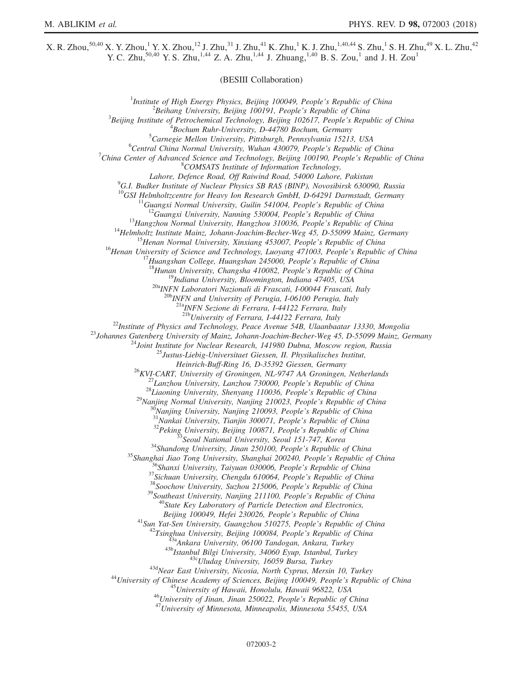$X.$  R. Zhou, $^{50,40}$  X. Y. Zhou, $^{1}$  Y. X. Zhou, $^{12}$  J. Zhu, $^{31}$  J. Zhu, $^{41}$  K. Zhu, $^{1}$  K. J. Zhu, $^{1,40,44}$  S. Zhu, $^{1}$  S. H. Zhu, $^{49}$  X. L. Zhu, $^{42}$ Y. C. Zhu,<sup>50,40</sup> Y. S. Zhu,<sup>1,44</sup> Z. A. Zhu,<sup>1,44</sup> J. Zhuang,<sup>1,40</sup> B. S. Zou,<sup>1</sup> and J. H. Zou<sup>1</sup>

(BESIII Collaboration)

<sup>1</sup>Institute of High Energy Physics, Beijing 100049, People's Republic of China  $\frac{2 \text{Poibana}}{2}$  ${}^{2}$ Beihang University, Beijing 100191, People's Republic of China  $3$ Beijing Institute of Petrochemical Technology, Beijing 102617, People's Republic of China  ${}^{4}$ Bochum Ruhr-University, D-44780 Bochum, Germany  ${}^{5}$ Carnegie Mellon University, Pittsburgh, Pennsylvania 15213, USA  ${}^{6}$ Central China Normal University, Wuhan 430079, People's Republic of China  $C$ hina Center of Advanced Science and Technology, Beijing 100190, People's Republic of China <sup>8</sup>COMSATS Institute of Information Technology, Lahore, Defence Road, Off Raiwind Road, 54000 Lahore, Pakistan <sup>9</sup> <sup>9</sup>G.I. Budker Institute of Nuclear Physics SB RAS (BINP), Novosibirsk 630090, Russia<br><sup>10</sup>GSI Helmholtzcentre for Heavy Ion Research GmbH, D-64291 Darmstadt, Germany <sup>10</sup>GSI Helmholtzcentre for Heavy Ion Research GmbH, D-64291 Darmstadt, Germany<br><sup>11</sup>Guangxi Normal University, Guilin 541004, People's Republic of China<br><sup>12</sup>Guangxi University, Nanning 530004, People's Republic of China<br><sup></sup>  $^{20a}$  INFN Laboratori Nazionali di Frascati, I-00044 Frascati, Italy<br> $^{20b}$  INFN and University of Perugia, I-06100 Perugia, Italy  $^{21a}$ INFN Sezione di Ferrara, I-44122 Ferrara, Italy<br> $^{21b}$ University of Ferrara, I-44122 Ferrara, Italy <sup>22</sup>Institute of Physics and Technology, Peace Avenue 54B, Ulaanbaatar 13330, Mongolia<br><sup>23</sup>Johannes Gutenberg University of Mainz, Johann-Joachim-Becher-Weg 45, D-55099 Mainz, Germany<br><sup>24</sup>Joint Institute for Nuclear Resea Heinrich-Buff-Ring 16, D-35392 Giessen, Germany<br>
<sup>26</sup>KVI-CART, University of Groningen, NL-9747 AA Groningen, Netherlands<br>
<sup>27</sup>Lanzhou University, Lanzhou 730000, People's Republic of China<br>
<sup>28</sup>Liaoning University, Shenya Beijing 100049, Hefei 230026, People's Republic of China<br>
<sup>41</sup>Sun Yat-Sen University, Guangzhou 510275, People's Republic of China<br>
<sup>42</sup>Tsinghua University, Beijing 100084, People's Republic of China<br>
<sup>43</sup>Tsinghua Universi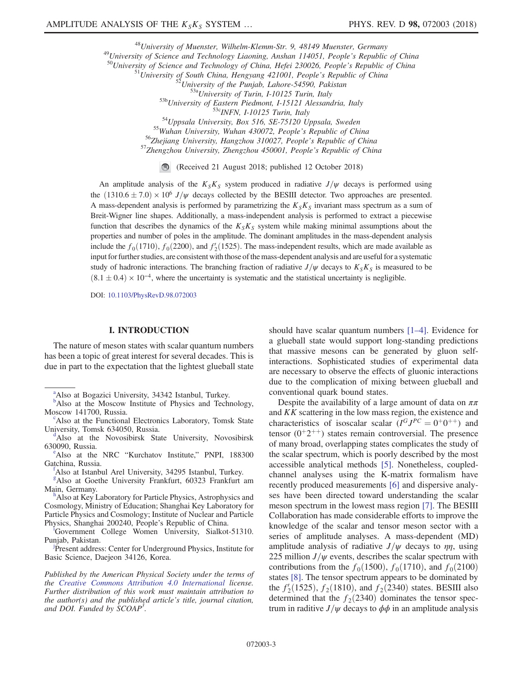<sup>48</sup>University of Muenster, Wilhelm-Klemm-Str. 9, 48149 Muenster, Germany<br><sup>49</sup>University of Science and Technology Liaoning, Anshan 114051, People's Republic of China<br><sup>50</sup>University of Science and Technology of China, Hef

(Received 21 August 2018; published 12 October 2018)

An amplitude analysis of the  $K_S K_S$  system produced in radiative  $J/\psi$  decays is performed using the  $(1310.6 \pm 7.0) \times 10^6$  J/ $\psi$  decays collected by the BESIII detector. Two approaches are presented. A mass-dependent analysis is performed by parametrizing the  $K_S K_S$  invariant mass spectrum as a sum of Breit-Wigner line shapes. Additionally, a mass-independent analysis is performed to extract a piecewise function that describes the dynamics of the  $K_S K_S$  system while making minimal assumptions about the properties and number of poles in the amplitude. The dominant amplitudes in the mass-dependent analysis include the  $f_0(1710)$ ,  $f_0(2200)$ , and  $f_2'(1525)$ . The mass-independent results, which are made available as input for further studies, are consistent with those of the mass-dependent analysis and are useful for a systematic study of hadronic interactions. The branching fraction of radiative  $J/\psi$  decays to  $K_S K_S$  is measured to be  $(8.1 \pm 0.4) \times 10^{-4}$ , where the uncertainty is systematic and the statistical uncertainty is negligible.

DOI: [10.1103/PhysRevD.98.072003](https://doi.org/10.1103/PhysRevD.98.072003)

### I. INTRODUCTION

The nature of meson states with scalar quantum numbers has been a topic of great interest for several decades. This is due in part to the expectation that the lightest glueball state

<span id="page-2-2"></span><sup>h</sup>Also at Key Laboratory for Particle Physics, Astrophysics and Cosmology, Ministry of Education; Shanghai Key Laboratory for Particle Physics and Cosmology; Institute of Nuclear and Particle Phys[i](#page-0-7)cs, Shanghai 200240, People's Republic of China.

<span id="page-2-6"></span>Government College Women University, Sialkot-51310. Pun[j](#page-0-8)ab, Pakistan.

<span id="page-2-4"></span>Present address: Center for Underground Physics, Institute for Basic Science, Daejeon 34126, Korea.

Published by the American Physical Society under the terms of the [Creative Commons Attribution 4.0 International](https://creativecommons.org/licenses/by/4.0/) license. Further distribution of this work must maintain attribution to the author(s) and the published article's title, journal citation, and DOI. Funded by SCOAP<sup>3</sup>.

should have scalar quantum numbers [\[1](#page-14-0)–4]. Evidence for a glueball state would support long-standing predictions that massive mesons can be generated by gluon selfinteractions. Sophisticated studies of experimental data are necessary to observe the effects of gluonic interactions due to the complication of mixing between glueball and conventional quark bound states.

Despite the availability of a large amount of data on  $\pi\pi$ and KK scattering in the low mass region, the existence and characteristics of isoscalar scalar  $(I^G J^{PC} = 0^+ 0^{++})$  and tensor  $(0^+2^{++})$  states remain controversial. The presence of many broad, overlapping states complicates the study of the scalar spectrum, which is poorly described by the most accessible analytical methods [\[5\]](#page-14-1). Nonetheless, coupledchannel analyses using the K-matrix formalism have recently produced measurements [\[6\]](#page-14-2) and dispersive analyses have been directed toward understanding the scalar meson spectrum in the lowest mass region [\[7\]](#page-14-3). The BESIII Collaboration has made considerable efforts to improve the knowledge of the scalar and tensor meson sector with a series of amplitude analyses. A mass-dependent (MD) amplitude analysis of radiative  $J/\psi$  decays to  $\eta\eta$ , using 225 million  $J/\psi$  events, describes the scalar spectrum with contributions from the  $f_0(1500)$ ,  $f_0(1710)$ , and  $f_0(2100)$ states [\[8\].](#page-14-4) The tensor spectrum appears to be dominated by the  $f_2(1525)$ ,  $f_2(1810)$ , and  $f_2(2340)$  states. BESIII also<br>determined that the  $f_2(2340)$  dominates the tensor specdetermined that the  $f_2(2340)$  dominates the tensor spectrum in raditive  $J/\psi$  decays to  $\phi\phi$  in an amplitude analysis

<span id="page-2-8"></span><sup>&</sup>lt;sup>[a](#page-0-0)</sup>Also at Bogazici University, 34342 Istanbul, Turkey.

<span id="page-2-1"></span><sup>&</sup>lt;sup>[b](#page-0-1)</sup>Also at the Moscow Institute of Physics and Technology, Moscow 141700, Russia.

Also at the Functional Electronics Laboratory, Tomsk State University, Tomsk 634050, Russia.

<span id="page-2-0"></span><sup>&</sup>lt;sup>1</sup>Also at the Novosibirsk State University, Novosibirsk 630090, Russia.

<span id="page-2-7"></span><sup>&</sup>lt;sup>e</sup>Also at the NRC "Kurchatov Institute," PNPI, 188300 Gatchina, Russia.

<span id="page-2-3"></span>Also at Istanbul Arel University, 34295 Istanbul, Turkey.

<span id="page-2-5"></span>[g](#page-0-5) Also at Goethe University Frankfurt, 60323 Frankfurt am Main, Germany.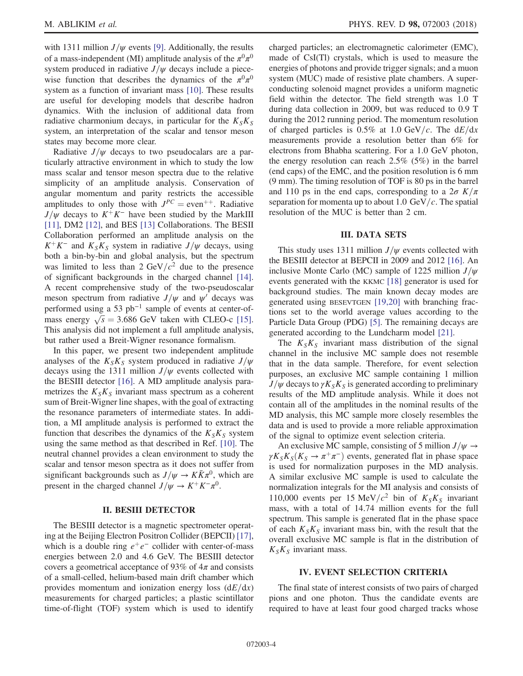with 1311 million  $J/\psi$  events [\[9\].](#page-14-5) Additionally, the results of a mass-independent (MI) amplitude analysis of the  $\pi^{0}\pi^{0}$ system produced in radiative  $J/\psi$  decays include a piecewise function that describes the dynamics of the  $\pi^{0}\pi^{0}$ system as a function of invariant mass [\[10\].](#page-14-6) These results are useful for developing models that describe hadron dynamics. With the inclusion of additional data from radiative charmonium decays, in particular for the  $K_S K_S$ system, an interpretation of the scalar and tensor meson states may become more clear.

Radiative  $J/\psi$  decays to two pseudocalars are a particularly attractive environment in which to study the low mass scalar and tensor meson spectra due to the relative simplicity of an amplitude analysis. Conservation of angular momentum and parity restricts the accessible amplitudes to only those with  $J^{PC}$  = even<sup>++</sup>. Radiative  $J/\psi$  decays to  $K^+K^-$  have been studied by the MarkIII [\[11\]](#page-14-7), DM2 [\[12\],](#page-14-8) and BES [\[13\]](#page-14-9) Collaborations. The BESII Collaboration performed an amplitude analysis on the  $K^+K^-$  and  $K_S K_S$  system in radiative  $J/\psi$  decays, using both a bin-by-bin and global analysis, but the spectrum was limited to less than  $2 \text{ GeV}/c^2$  due to the presence of significant backgrounds in the charged channel [\[14\]](#page-14-10). A recent comprehensive study of the two-pseudoscalar meson spectrum from radiative  $J/\psi$  and  $\psi'$  decays was performed using a 53 pb<sup>-1</sup> sample of events at center-ofmass energy  $\sqrt{s}$  = 3.686 GeV taken with CLEO-c [\[15\]](#page-14-11).<br>This analysis did not implement a full amplitude analysis. This analysis did not implement a full amplitude analysis, but rather used a Breit-Wigner resonance formalism.

In this paper, we present two independent amplitude analyses of the  $K_S K_S$  system produced in radiative  $J/\psi$ decays using the 1311 million  $J/\psi$  events collected with the BESIII detector [\[16\].](#page-14-12) A MD amplitude analysis parametrizes the  $K_S K_S$  invariant mass spectrum as a coherent sum of Breit-Wigner line shapes, with the goal of extracting the resonance parameters of intermediate states. In addition, a MI amplitude analysis is performed to extract the function that describes the dynamics of the  $K_S K_S$  system using the same method as that described in Ref. [\[10\]](#page-14-6). The neutral channel provides a clean environment to study the scalar and tensor meson spectra as it does not suffer from significant backgrounds such as  $J/\psi \rightarrow K\bar{K}\pi^0$ , which are present in the charged channel  $J/\psi \rightarrow K^+K^-\pi^0$ .

### II. BESIII DETECTOR

The BESIII detector is a magnetic spectrometer operating at the Beijing Electron Positron Collider (BEPCII) [\[17\]](#page-14-13), which is a double ring  $e^+e^-$  collider with center-of-mass energies between 2.0 and 4.6 GeV. The BESIII detector covers a geometrical acceptance of 93% of  $4\pi$  and consists of a small-celled, helium-based main drift chamber which provides momentum and ionization energy loss  $(dE/dx)$ measurements for charged particles; a plastic scintillator time-of-flight (TOF) system which is used to identify charged particles; an electromagnetic calorimeter (EMC), made of CsI(Tl) crystals, which is used to measure the energies of photons and provide trigger signals; and a muon system (MUC) made of resistive plate chambers. A superconducting solenoid magnet provides a uniform magnetic field within the detector. The field strength was 1.0 T during data collection in 2009, but was reduced to 0.9 T during the 2012 running period. The momentum resolution of charged particles is 0.5% at 1.0 GeV/c. The  $dE/dx$ measurements provide a resolution better than 6% for electrons from Bhabha scattering. For a 1.0 GeV photon, the energy resolution can reach 2.5% (5%) in the barrel (end caps) of the EMC, and the position resolution is 6 mm (9 mm). The timing resolution of TOF is 80 ps in the barrel and 110 ps in the end caps, corresponding to a  $2\sigma K/\pi$ separation for momenta up to about 1.0 GeV/c. The spatial resolution of the MUC is better than 2 cm.

# III. DATA SETS

This study uses 1311 million  $J/\psi$  events collected with the BESIII detector at BEPCII in 2009 and 2012 [\[16\]](#page-14-12). An inclusive Monte Carlo (MC) sample of 1225 million  $J/\psi$ events generated with the KKMC [\[18\]](#page-14-14) generator is used for background studies. The main known decay modes are generated using BESEVTGEN [\[19,20\]](#page-14-15) with branching fractions set to the world average values according to the Particle Data Group (PDG) [\[5\]](#page-14-1). The remaining decays are generated according to the Lundcharm model [\[21\]](#page-14-16).

The  $K_S K_S$  invariant mass distribution of the signal channel in the inclusive MC sample does not resemble that in the data sample. Therefore, for event selection purposes, an exclusive MC sample containing 1 million  $J/\psi$  decays to  $\gamma K_S K_S$  is generated according to preliminary results of the MD amplitude analysis. While it does not contain all of the amplitudes in the nominal results of the MD analysis, this MC sample more closely resembles the data and is used to provide a more reliable approximation of the signal to optimize event selection criteria.

An exclusive MC sample, consisting of 5 million  $J/\psi \rightarrow$  $\gamma K_S K_S (K_S \rightarrow \pi^+ \pi^-)$  events, generated flat in phase space is used for normalization purposes in the MD analysis. A similar exclusive MC sample is used to calculate the normalization integrals for the MI analysis and consists of 110,000 events per 15 MeV/ $c^2$  bin of  $K_S K_S$  invariant mass, with a total of 14.74 million events for the full spectrum. This sample is generated flat in the phase space of each  $K_S K_S$  invariant mass bin, with the result that the overall exclusive MC sample is flat in the distribution of  $K_{S}K_{S}$  invariant mass.

### IV. EVENT SELECTION CRITERIA

The final state of interest consists of two pairs of charged pions and one photon. Thus the candidate events are required to have at least four good charged tracks whose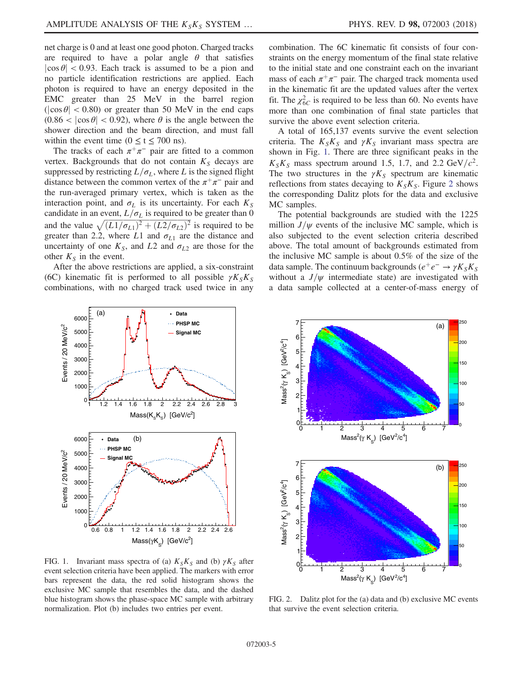net charge is 0 and at least one good photon. Charged tracks are required to have a polar angle  $\theta$  that satisfies  $|\cos \theta|$  < 0.93. Each track is assumed to be a pion and no particle identification restrictions are applied. Each photon is required to have an energy deposited in the EMC greater than 25 MeV in the barrel region  $(|\cos \theta| < 0.80)$  or greater than 50 MeV in the end caps  $(0.86 < |\cos \theta| < 0.92)$ , where  $\theta$  is the angle between the shower direction and the beam direction, and must fall within the event time ( $0 \le t \le 700$  ns).

The tracks of each  $\pi^+\pi^-$  pair are fitted to a common vertex. Backgrounds that do not contain  $K<sub>S</sub>$  decays are suppressed by restricting  $L/\sigma_L$ , where L is the signed flight distance between the common vertex of the  $\pi^+\pi^-$  pair and the run-averaged primary vertex, which is taken as the interaction point, and  $\sigma_L$  is its uncertainty. For each  $K_S$ candidate in an event,  $L/\sigma_L$  is required to be greater than 0 and the value  $\sqrt{(L1/\sigma_{L1})^2+(L2/\sigma_{L2})^2}$  is required to be oreater than 2.2 where L1 and  $\sigma_{\rm M}$  are the distance and greater than 2.2, where L1 and  $\sigma_{L1}$  are the distance and uncertainty of one  $K_S$ , and L2 and  $\sigma_{L2}$  are those for the other  $K<sub>S</sub>$  in the event.

After the above restrictions are applied, a six-constraint (6C) kinematic fit is performed to all possible  $\gamma K_S K_S$ combinations, with no charged track used twice in any combination. The 6C kinematic fit consists of four constraints on the energy momentum of the final state relative to the initial state and one constraint each on the invariant mass of each  $\pi^+\pi^-$  pair. The charged track momenta used in the kinematic fit are the updated values after the vertex fit. The  $\chi^{2}_{6C}$  is required to be less than 60. No events have more than one combination of final state particles that survive the above event selection criteria.

A total of 165,137 events survive the event selection criteria. The  $K_S K_S$  and  $\gamma K_S$  invariant mass spectra are shown in Fig. [1.](#page-4-0) There are three significant peaks in the  $K_S K_S$  mass spectrum around 1.5, 1.7, and 2.2 GeV/ $c^2$ . The two structures in the  $\gamma K_S$  spectrum are kinematic reflections from states decaying to  $K_S K_S$ . Figure [2](#page-4-1) shows the corresponding Dalitz plots for the data and exclusive MC samples.

The potential backgrounds are studied with the 1225 million  $J/\psi$  events of the inclusive MC sample, which is also subjected to the event selection criteria described above. The total amount of backgrounds estimated from the inclusive MC sample is about 0.5% of the size of the data sample. The continuum backgrounds ( $e^+e^- \rightarrow \gamma K_S K_S$ without a  $J/\psi$  intermediate state) are investigated with a data sample collected at a center-of-mass energy of

<span id="page-4-0"></span>

FIG. 1. Invariant mass spectra of (a)  $K_S K_S$  and (b)  $\gamma K_S$  after event selection criteria have been applied. The markers with error bars represent the data, the red solid histogram shows the exclusive MC sample that resembles the data, and the dashed blue histogram shows the phase-space MC sample with arbitrary normalization. Plot (b) includes two entries per event.

<span id="page-4-1"></span>

FIG. 2. Dalitz plot for the (a) data and (b) exclusive MC events that survive the event selection criteria.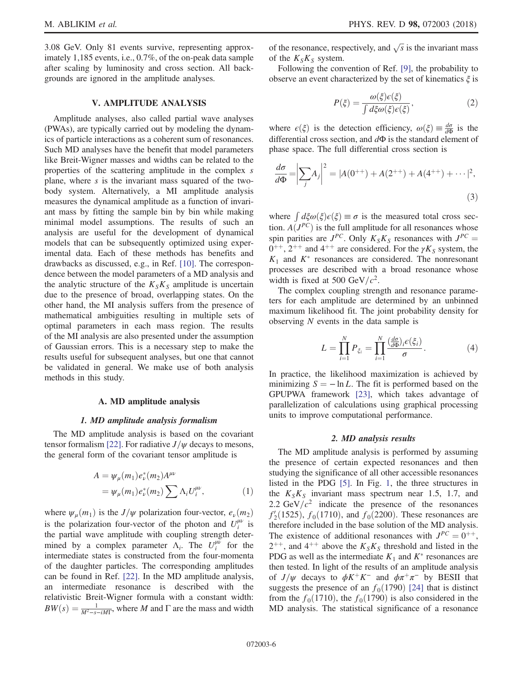M. ABLIKIM *et al.* **PHYS. REV. D 98, 072003 (2018)** 

3.08 GeV. Only 81 events survive, representing approximately 1,185 events, i.e., 0.7%, of the on-peak data sample after scaling by luminosity and cross section. All backgrounds are ignored in the amplitude analyses.

# V. AMPLITUDE ANALYSIS

Amplitude analyses, also called partial wave analyses (PWAs), are typically carried out by modeling the dynamics of particle interactions as a coherent sum of resonances. Such MD analyses have the benefit that model parameters like Breit-Wigner masses and widths can be related to the properties of the scattering amplitude in the complex s plane, where s is the invariant mass squared of the twobody system. Alternatively, a MI amplitude analysis measures the dynamical amplitude as a function of invariant mass by fitting the sample bin by bin while making minimal model assumptions. The results of such an analysis are useful for the development of dynamical models that can be subsequently optimized using experimental data. Each of these methods has benefits and drawbacks as discussed, e.g., in Ref. [\[10\]](#page-14-6). The correspondence between the model parameters of a MD analysis and the analytic structure of the  $K_S K_S$  amplitude is uncertain due to the presence of broad, overlapping states. On the other hand, the MI analysis suffers from the presence of mathematical ambiguities resulting in multiple sets of optimal parameters in each mass region. The results of the MI analysis are also presented under the assumption of Gaussian errors. This is a necessary step to make the results useful for subsequent analyses, but one that cannot be validated in general. We make use of both analysis methods in this study.

#### A. MD amplitude analysis

### 1. MD amplitude analysis formalism

The MD amplitude analysis is based on the covariant tensor formalism [\[22\].](#page-14-17) For radiative  $J/\psi$  decays to mesons, the general form of the covariant tensor amplitude is

$$
A = \psi_{\mu}(m_1) e_{\nu}^*(m_2) A^{\mu\nu}
$$
  
=  $\psi_{\mu}(m_1) e_{\nu}^*(m_2) \sum \Lambda_i U_i^{\mu\nu}$ , (1)

where  $\psi_{\mu}(m_1)$  is the  $J/\psi$  polarization four-vector,  $e_{\nu}(m_2)$ is the polarization four-vector of the photon and  $U_i^{\mu\nu}$  is the partial wave amplitude with coupling strength determined by a complex parameter  $\Lambda_i$ . The  $U_i^{\mu\nu}$  for the intermediate states is constructed from the four-momenta of the daughter particles. The corresponding amplitudes can be found in Ref. [\[22\]](#page-14-17). In the MD amplitude analysis, an intermediate resonance is described with the relativistic Breit-Wigner formula with a constant width:  $BW(s) = \frac{1}{M^2 - s - iM\Gamma}$ , where M and  $\Gamma$  are the mass and width

of the resonance, respectively, and  $\sqrt{s}$  is the invariant mass of the  $K_S K_S$  system.

Following the convention of Ref. [\[9\]](#page-14-5), the probability to observe an event characterized by the set of kinematics  $\xi$  is

$$
P(\xi) = \frac{\omega(\xi)\epsilon(\xi)}{\int d\xi \omega(\xi)\epsilon(\xi)},
$$
\n(2)

where  $\epsilon(\xi)$  is the detection efficiency,  $\omega(\xi) \equiv \frac{d\sigma}{d\Phi}$  is the differential cross section, and  $d\Phi$  is the standard element of differential cross section, and  $d\Phi$  is the standard element of phase space. The full differential cross section is

$$
\frac{d\sigma}{d\Phi} = \left| \sum_{j} A_j \right|^2 = |A(0^{++}) + A(2^{++}) + A(4^{++}) + \dots |^2,
$$
\n(3)

where  $\int d\xi \omega(\xi) \epsilon(\xi) \equiv \sigma$  is the measured total cross sec-<br>tion  $A(P^{\mathcal{C}})$  is the full applitude for all resonances whose tion.  $A(J^{PC})$  is the full amplitude for all resonances whose spin parities are  $J^{PC}$ . Only  $K_S K_S$  resonances with  $J^{PC}$  =  $0^{++}$ ,  $2^{++}$  and  $4^{++}$  are considered. For the  $\gamma K_S$  system, the  $K_1$  and  $K^*$  resonances are considered. The nonresonant processes are described with a broad resonance whose width is fixed at 500 GeV/ $c^2$ .

The complex coupling strength and resonance parameters for each amplitude are determined by an unbinned maximum likelihood fit. The joint probability density for observing N events in the data sample is

$$
L = \prod_{i=1}^{N} P_{\xi_i} = \prod_{i=1}^{N} \frac{\left(\frac{d\sigma}{d\Phi}\right)_i \epsilon(\xi_i)}{\sigma}.
$$
 (4)

In practice, the likelihood maximization is achieved by minimizing  $S = -\ln L$ . The fit is performed based on the GPUPWA framework [\[23\],](#page-14-18) which takes advantage of parallelization of calculations using graphical processing units to improve computational performance.

### 2. MD analysis results

The MD amplitude analysis is performed by assuming the presence of certain expected resonances and then studying the significance of all other accessible resonances listed in the PDG [\[5\].](#page-14-1) In Fig. [1](#page-4-0), the three structures in the  $K_S K_S$  invariant mass spectrum near 1.5, 1.7, and 2.2 GeV/ $c^2$  indicate the presence of the resonances  $f_2^{\prime}(1525)$ ,  $f_0(1710)$ , and  $f_0(2200)$ . These resonances are<br>therefore included in the base solution of the MD analysis therefore included in the base solution of the MD analysis. The existence of additional resonances with  $J^{PC} = 0^{++}$ ,  $2^{++}$ , and  $4^{++}$  above the  $K_S K_S$  threshold and listed in the PDG as well as the intermediate  $K_1$  and  $K^*$  resonances are then tested. In light of the results of an amplitude analysis of J/ $\psi$  decays to  $\phi K^+ K^-$  and  $\phi \pi^+ \pi^-$  by BESII that suggests the presence of an  $f_0(1790)$  [\[24\]](#page-14-19) that is distinct from the  $f_0(1710)$ , the  $f_0(1790)$  is also considered in the MD analysis. The statistical significance of a resonance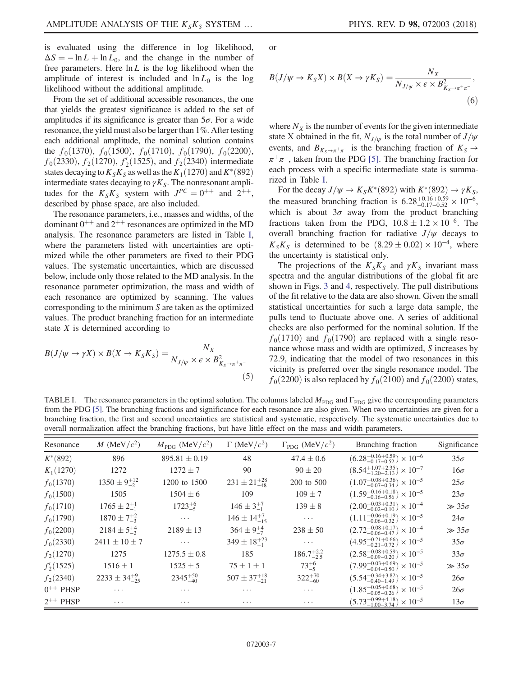is evaluated using the difference in log likelihood,  $\Delta S = -\ln L + \ln L_0$ , and the change in the number of free parameters. Here  $\ln L$  is the log likelihood when the amplitude of interest is included and  $\ln L_0$  is the log likelihood without the additional amplitude.

From the set of additional accessible resonances, the one that yields the greatest significance is added to the set of amplitudes if its significance is greater than  $5\sigma$ . For a wide resonance, the yield must also be larger than 1%. After testing each additional amplitude, the nominal solution contains the  $f_0(1370)$ ,  $f_0(1500)$ ,  $f_0(1710)$ ,  $f_0(1790)$ ,  $f_0(2200)$ ,  $f_0(2330)$ ,  $f_2(1270)$ ,  $f_2'(1525)$ , and  $f_2(2340)$  intermediate<br>states decaying to  $K_2K_2$  as well as the  $K_2(1270)$  and  $K^*(892)$ states decaying to  $K_S K_S$  as well as the  $K_1(1270)$  and  $K^*(892)$ intermediate states decaying to  $\gamma K_S$ . The nonresonant amplitudes for the  $K_S K_S$  system with  $J^{PC} = 0^{++}$  and  $2^{++}$ , described by phase space, are also included.

The resonance parameters, i.e., masses and widths, of the dominant  $0^{++}$  and  $2^{++}$  resonances are optimized in the MD analysis. The resonance parameters are listed in Table [I](#page-6-0), where the parameters listed with uncertainties are optimized while the other parameters are fixed to their PDG values. The systematic uncertainties, which are discussed below, include only those related to the MD analysis. In the resonance parameter optimization, the mass and width of each resonance are optimized by scanning. The values corresponding to the minimum S are taken as the optimized values. The product branching fraction for an intermediate state  $X$  is determined according to

$$
B(J/\psi \to \gamma X) \times B(X \to K_S K_S) = \frac{N_X}{N_{J/\psi} \times \epsilon \times B_{K_S \to \pi^+ \pi^-}^2}
$$
\n(5)

or

$$
\rightarrow K_S X) \times B(X \rightarrow \gamma K_S) = \frac{1}{N}
$$

$$
B(J/\psi \to K_S X) \times B(X \to \gamma K_S) = \frac{N_X}{N_{J/\psi} \times \epsilon \times B_{K_S \to \pi^+ \pi^-}}\,,\tag{6}
$$

where  $N_X$  is the number of events for the given intermediate state X obtained in the fit,  $N_{J/\psi}$  is the total number of  $J/\psi$ events, and  $B_{K_S \to \pi^+\pi^-}$  is the branching fraction of  $K_S \to$  $\pi^+\pi^-$ , taken from the PDG [\[5\].](#page-14-1) The branching fraction for each process with a specific intermediate state is summarized in Table [I.](#page-6-0)

For the decay  $J/\psi \rightarrow K_S K^*(892)$  with  $K^*(892) \rightarrow \gamma K_S$ , the measured branching fraction is  $6.28_{-0.17-0.52}^{+0.16+0.59} \times 10^{-6}$ , which is about  $3\sigma$  away from the product branching fractions taken from the PDG,  $10.8 \pm 1.2 \times 10^{-6}$ . The overall branching fraction for radiative  $I/\nu$  decays to overall branching fraction for radiative  $J/\psi$  decays to  $K_S K_S$  is determined to be  $(8.29 \pm 0.02) \times 10^{-4}$ , where the uncertainty is statistical only.

The projections of the  $K_S K_S$  and  $\gamma K_S$  invariant mass spectra and the angular distributions of the global fit are shown in Figs. [3](#page-7-0) and [4](#page-7-1), respectively. The pull distributions of the fit relative to the data are also shown. Given the small statistical uncertainties for such a large data sample, the pulls tend to fluctuate above one. A series of additional checks are also performed for the nominal solution. If the  $f_0(1710)$  and  $f_0(1790)$  are replaced with a single resonance whose mass and width are optimized, S increases by 72.9, indicating that the model of two resonances in this vicinity is preferred over the single resonance model. The  $f_0(2200)$  is also replaced by  $f_0(2100)$  and  $f_0(2200)$  states,

<span id="page-6-0"></span>TABLE I. The resonance parameters in the optimal solution. The columns labeled  $M_{PDG}$  and  $\Gamma_{PDG}$  give the corresponding parameters from the PDG [\[5\]](#page-14-1). The branching fractions and significance for each resonance are also given. When two uncertainties are given for a branching fraction, the first and second uncertainties are statistical and systematic, respectively. The systematic uncertainties due to overall normalization affect the branching fractions, but have little effect on the mass and width parameters.

| Resonance     | M (MeV/ $c^2$ )          | $M_{\text{PDG}}$ (MeV/ $c^2$ ) | $\Gamma$ (MeV/ $c^2$ )   | $\Gamma_{\text{PDG}}$ (MeV/ $c^2$ ) | Branching fraction                                      | Significance   |
|---------------|--------------------------|--------------------------------|--------------------------|-------------------------------------|---------------------------------------------------------|----------------|
| $K^*(892)$    | 896                      | $895.81 \pm 0.19$              | 48                       | $47.4 \pm 0.6$                      | $(6.28^{+0.16+0.59}_{-0.17-0.52}) \times 10^{-6}$       | $35\sigma$     |
| $K_1(1270)$   | 1272                     | $1272 \pm 7$                   | 90                       | $90 \pm 20$                         | $(8.54^{+1.07+2.35}_{-1.20-2.13}) \times 10^{-7}$       | $16\sigma$     |
| $f_0(1370)$   | $1350 \pm 9^{+12}_{-2}$  | 1200 to 1500                   | $231 \pm 21^{+28}_{-48}$ | 200 to 500                          | $(1.07^{+0.08}_{-0.07}{}^{+0.36}_{-0.34})\times10^{-5}$ | $25\sigma$     |
| $f_0(1500)$   | 1505                     | $1504 \pm 6$                   | 109                      | $109 + 7$                           | $(1.59^{+0.16+0.18}_{-0.16-0.56}) \times 10^{-5}$       | $23\sigma$     |
| $f_0(1710)$   | $1765 \pm 2^{+1}_{-1}$   | $1723^{+6}_{-5}$               | $146 \pm 3^{+7}_{-1}$    | $139 \pm 8$                         | $(2.00^{+0.03+0.31}_{-0.02-0.10}) \times 10^{-4}$       | $\gg 35\sigma$ |
| $f_0(1790)$   | $1870 \pm 7^{+2}_{-3}$   | $\cdots$                       | $146 \pm 14^{+7}_{-15}$  | $\cdots$                            | $(1.11^{+0.06+0.19}_{-0.06-0.32}) \times 10^{-5}$       | $24\sigma$     |
| $f_0(2200)$   | $2184 \pm 5^{+4}_{-2}$   | $2189 \pm 13$                  | $364 \pm 9^{+4}_{-7}$    | $238 \pm 50$                        | $(2.72^{+0.08+0.17}_{-0.06-0.47}) \times 10^{-4}$       | $\gg 35\sigma$ |
| $f_0(2330)$   | $2411 \pm 10 \pm 7$      | $\cdots$                       | $349 \pm 18^{+23}_{-1}$  | $\cdots$                            | $(4.95_{-0.21-0.72}^{+0.21+0.66}) \times 10^{-5}$       | $35\sigma$     |
| $f_2(1270)$   | 1275                     | $1275.5 \pm 0.8$               | 185                      | $186.7^{+2.2}_{-2.5}$               | $(2.58^{+0.08+0.59}_{-0.09-0.20}) \times 10^{-5}$       | $33\sigma$     |
| $f'_2(1525)$  | $1516 \pm 1$             | $1525 \pm 5$                   | $75 \pm 1 \pm 1$         | $73^{+6}_{-5}$                      | $(7.99^{+0.03+0.69}_{-0.04-0.50}) \times 10^{-5}$       | $\gg 35\sigma$ |
| $f_2(2340)$   | $2233 \pm 34^{+9}_{-25}$ | $2345^{+50}_{-40}$             | $507 \pm 37^{+18}_{-21}$ | $322^{+70}_{-60}$                   | $(5.54^{+0.34+3.82}_{-0.40-1.49}) \times 10^{-5}$       | $26\sigma$     |
| $0^{++}$ PHSP | $\cdots$                 | $\cdots$                       | $\cdots$                 | $\cdots$                            | $(1.85^{+0.05+0.68}_{-0.05-0.26}) \times 10^{-5}$       | $26\sigma$     |
| $2^{++}$ PHSP | $\cdots$                 | .                              | $\cdots$                 | $\cdots$                            | $(5.73^{+0.99+4.18}_{-1.00-3.74}) \times 10^{-5}$       | $13\sigma$     |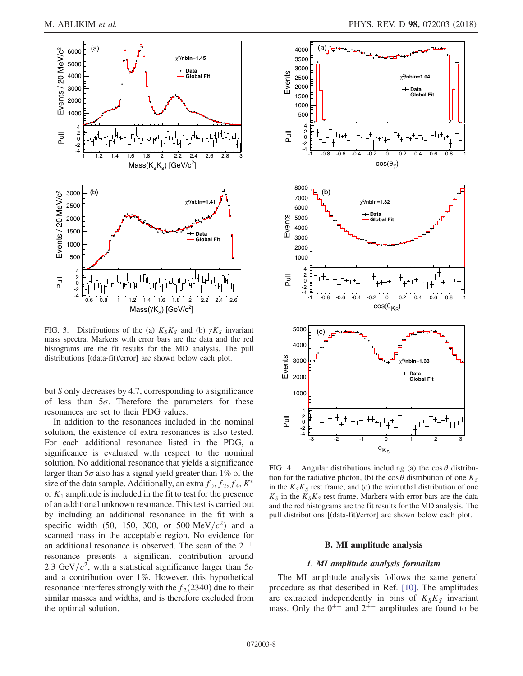<span id="page-7-0"></span>

FIG. 3. Distributions of the (a)  $K_S K_S$  and (b)  $\gamma K_S$  invariant mass spectra. Markers with error bars are the data and the red histograms are the fit results for the MD analysis. The pull distributions [(data-fit)/error] are shown below each plot.

but S only decreases by 4.7, corresponding to a significance of less than  $5\sigma$ . Therefore the parameters for these resonances are set to their PDG values.

In addition to the resonances included in the nominal solution, the existence of extra resonances is also tested. For each additional resonance listed in the PDG, a significance is evaluated with respect to the nominal solution. No additional resonance that yields a significance larger than  $5\sigma$  also has a signal yield greater than 1% of the size of the data sample. Additionally, an extra  $f_0$ ,  $f_2$ ,  $f_4$ ,  $K^*$ or  $K_1$  amplitude is included in the fit to test for the presence of an additional unknown resonance. This test is carried out by including an additional resonance in the fit with a specific width (50, 150, 300, or 500 MeV/ $c^2$ ) and a scanned mass in the acceptable region. No evidence for an additional resonance is observed. The scan of the  $2^{++}$ resonance presents a significant contribution around 2.3 GeV/ $c^2$ , with a statistical significance larger than  $5\sigma$ and a contribution over 1%. However, this hypothetical resonance interferes strongly with the  $f_2(2340)$  due to their similar masses and widths, and is therefore excluded from the optimal solution.

<span id="page-7-1"></span>

FIG. 4. Angular distributions including (a) the  $\cos \theta$  distribution for the radiative photon, (b) the cos  $\theta$  distribution of one  $K_S$ in the  $K_S K_S$  rest frame, and (c) the azimuthal distribution of one  $K<sub>S</sub>$  in the  $K<sub>S</sub>K<sub>S</sub>$  rest frame. Markers with error bars are the data and the red histograms are the fit results for the MD analysis. The pull distributions [(data-fit)/error] are shown below each plot.

## B. MI amplitude analysis

# 1. MI amplitude analysis formalism

The MI amplitude analysis follows the same general procedure as that described in Ref. [\[10\].](#page-14-6) The amplitudes are extracted independently in bins of  $K_S K_S$  invariant mass. Only the  $0^{++}$  and  $2^{++}$  amplitudes are found to be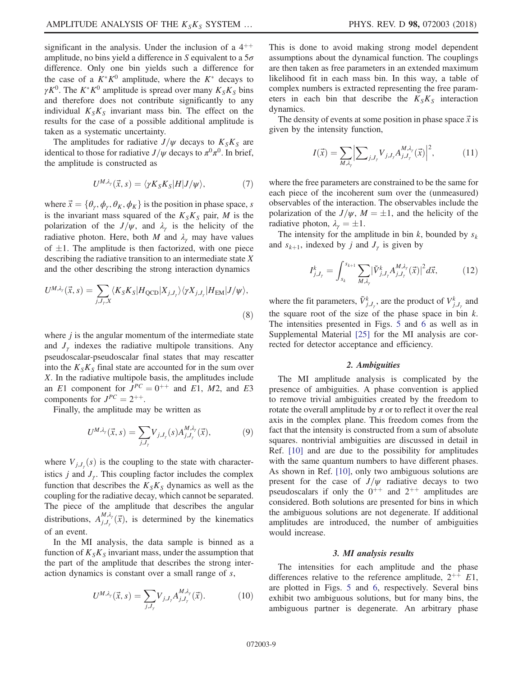significant in the analysis. Under the inclusion of a  $4^{++}$ amplitude, no bins yield a difference in S equivalent to a  $5\sigma$ difference. Only one bin yields such a difference for the case of a  $K^*K^0$  amplitude, where the  $K^*$  decays to  $\gamma K^0$ . The  $K^*K^0$  amplitude is spread over many  $K_S K_S$  bins and therefore does not contribute significantly to any individual  $K_S K_S$  invariant mass bin. The effect on the results for the case of a possible additional amplitude is taken as a systematic uncertainty.

The amplitudes for radiative  $J/\psi$  decays to  $K_S K_S$  are identical to those for radiative  $J/\psi$  decays to  $\pi^0 \pi^0$ . In brief, the amplitude is constructed as

$$
U^{M,\lambda_{\gamma}}(\vec{x},s) = \langle \gamma K_{S} K_{S} | H | J/\psi \rangle, \qquad (7)
$$

where  $\vec{x} = {\theta_{\gamma}, \phi_{\gamma}, \theta_{K}, \phi_{K}}$  is the position in phase space, s is the invariant mass squared of the  $K_S K_S$  pair, M is the polarization of the  $J/\psi$ , and  $\lambda_{\gamma}$  is the helicity of the radiative photon. Here, both M and  $\lambda_{\gamma}$  may have values of  $\pm 1$ . The amplitude is then factorized, with one piece<br>describing the radiative transition to an intermediate state X describing the radiative transition to an intermediate state X and the other describing the strong interaction dynamics

$$
U^{M,\lambda_{\gamma}}(\vec{x},s) = \sum_{j,J_{\gamma},X} \langle K_{S}K_{S}|H_{\text{QCD}}|X_{j,J_{\gamma}}\rangle \langle \gamma X_{j,J_{\gamma}}|H_{\text{EM}}|J/\psi\rangle,
$$
\n(8)

where  $j$  is the angular momentum of the intermediate state and  $J_{\gamma}$  indexes the radiative multipole transitions. Any pseudoscalar-pseudoscalar final states that may rescatter into the  $K_S K_S$  final state are accounted for in the sum over X. In the radiative multipole basis, the amplitudes include an E1 component for  $J^{PC} = 0^{++}$  and E1, M2, and E3 components for  $J^{PC} = 2^{++}$ .

Finally, the amplitude may be written as

$$
U^{M,\lambda_{\gamma}}(\vec{x},s) = \sum_{j,J_{\gamma}} V_{j,J_{\gamma}}(s) A^{M,\lambda_{\gamma}}_{j,J_{\gamma}}(\vec{x}),
$$
 (9)

where  $V_{j,J_y}(s)$  is the coupling to the state with character-<br>isting i and I. This coupling factor includes the complex istics  $j$  and  $J_{\gamma}$ . This coupling factor includes the complex function that describes the  $K_S K_S$  dynamics as well as the coupling for the radiative decay, which cannot be separated. The piece of the amplitude that describes the angular distributions,  $A_{j,J_{\gamma}}^{M,\lambda_{\gamma}}(\vec{x})$ , is determined by the kinematics of an event.

In the MI analysis, the data sample is binned as a function of  $K_S K_S$  invariant mass, under the assumption that the part of the amplitude that describes the strong interaction dynamics is constant over a small range of s,

$$
U^{M,\lambda_{\gamma}}(\vec{x},s) = \sum_{j,J_{\gamma}} V_{j,J_{\gamma}} A^{M,\lambda_{\gamma}}_{j,J_{\gamma}}(\vec{x}). \tag{10}
$$

This is done to avoid making strong model dependent assumptions about the dynamical function. The couplings are then taken as free parameters in an extended maximum likelihood fit in each mass bin. In this way, a table of complex numbers is extracted representing the free parameters in each bin that describe the  $K_S K_S$  interaction dynamics.

The density of events at some position in phase space  $\vec{x}$  is given by the intensity function,

$$
I(\vec{x}) = \sum_{M,\lambda_{\gamma}} \Big| \sum_{j,J_{\gamma}} V_{j,J_{\gamma}} A_{j,J_{\gamma}}^{M,\lambda_{\gamma}}(\vec{x}) \Big|^2, \tag{11}
$$

where the free parameters are constrained to be the same for each piece of the incoherent sum over the (unmeasured) observables of the interaction. The observables include the polarization of the  $J/\psi$ ,  $M = \pm 1$ , and the helicity of the radiative photon  $\lambda = +1$ radiative photon,  $\lambda_{\gamma} = \pm 1$ .<br>The intensity for the am

The intensity for the amplitude in bin  $k$ , bounded by  $s_k$ and  $s_{k+1}$ , indexed by j and  $J_{\gamma}$  is given by

$$
I_{j,J_{\gamma}}^k = \int_{s_k}^{s_{k+1}} \sum_{M,\lambda_{\gamma}} \left| \tilde{V}_{j,J_{\gamma}}^k A_{j,J_{\gamma}}^{M,\lambda_{\gamma}}(\vec{x}) \right|^2 d\vec{x}, \tag{12}
$$

where the fit parameters,  $\tilde{V}^k_{j,J_\gamma}$ , are the product of  $V^k_{j,J_\gamma}$  and the square root of the size of the phase space in bin  $k$ . The intensities presented in Figs. [5](#page-9-0) and [6](#page-10-0) as well as in Supplemental Material [\[25\]](#page-14-20) for the MI analysis are corrected for detector acceptance and efficiency.

# 2. Ambiguities

The MI amplitude analysis is complicated by the presence of ambiguities. A phase convention is applied to remove trivial ambiguities created by the freedom to rotate the overall amplitude by  $\pi$  or to reflect it over the real axis in the complex plane. This freedom comes from the fact that the intensity is constructed from a sum of absolute squares. nontrivial ambiguities are discussed in detail in Ref. [\[10\]](#page-14-6) and are due to the possibility for amplitudes with the same quantum numbers to have different phases. As shown in Ref. [\[10\]](#page-14-6), only two ambiguous solutions are present for the case of  $J/\psi$  radiative decays to two pseudoscalars if only the  $0^{++}$  and  $2^{++}$  amplitudes are considered. Both solutions are presented for bins in which the ambiguous solutions are not degenerate. If additional amplitudes are introduced, the number of ambiguities would increase.

### 3. MI analysis results

The intensities for each amplitude and the phase differences relative to the reference amplitude,  $2^{++}$  E1, are plotted in Figs. [5](#page-9-0) and [6](#page-10-0), respectively. Several bins exhibit two ambiguous solutions, but for many bins, the ambiguous partner is degenerate. An arbitrary phase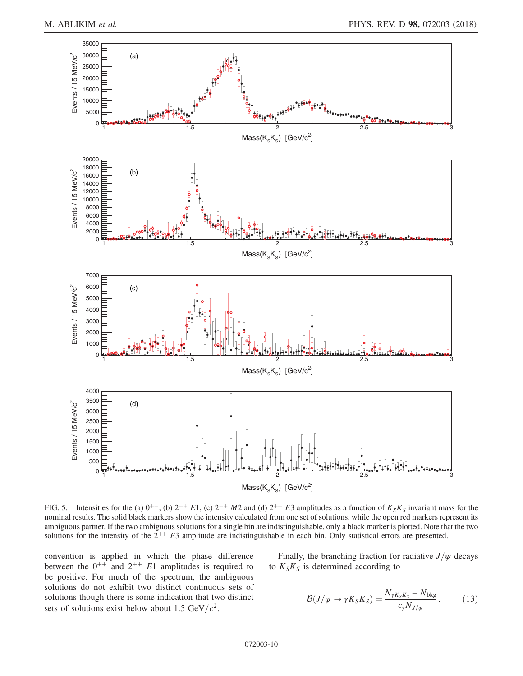<span id="page-9-0"></span>

FIG. 5. Intensities for the (a)  $0^{++}$ , (b)  $2^{++}E1$ , (c)  $2^{++}M2$  and (d)  $2^{++}E3$  amplitudes as a function of  $K_S K_S$  invariant mass for the nominal results. The solid black markers show the intensity calculated from one set of solutions, while the open red markers represent its ambiguous partner. If the two ambiguous solutions for a single bin are indistinguishable, only a black marker is plotted. Note that the two solutions for the intensity of the  $2^{++}$  E3 amplitude are indistinguishable in each bin. Only statistical errors are presented.

convention is applied in which the phase difference between the  $0^{++}$  and  $2^{++}$  E1 amplitudes is required to be positive. For much of the spectrum, the ambiguous solutions do not exhibit two distinct continuous sets of solutions though there is some indication that two distinct sets of solutions exist below about 1.5 GeV/ $c^2$ .

<span id="page-9-1"></span>Finally, the branching fraction for radiative  $J/\psi$  decays to  $K_S K_S$  is determined according to

$$
\mathcal{B}(J/\psi \to \gamma K_S K_S) = \frac{N_{\gamma K_S K_S} - N_{\text{bkg}}}{\epsilon_{\gamma} N_{J/\psi}}.
$$
 (13)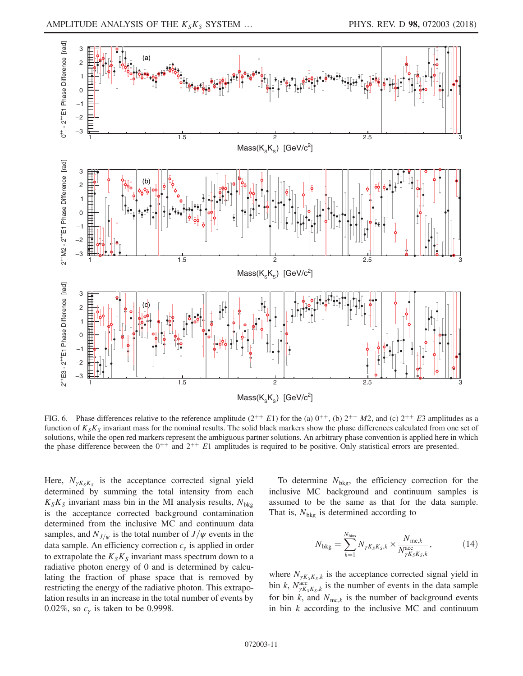<span id="page-10-0"></span>

FIG. 6. Phase differences relative to the reference amplitude  $(2^{++} E1)$  for the (a)  $0^{++}$ , (b)  $2^{++} M2$ , and (c)  $2^{++} E3$  amplitudes as a function of  $K_S K_S$  invariant mass for the nominal results. The solid black markers show the phase differences calculated from one set of solutions, while the open red markers represent the ambiguous partner solutions. An arbitrary phase convention is applied here in which the phase difference between the  $0^{++}$  and  $2^{++}$  E1 amplitudes is required to be positive. Only statistical errors are presented.

Here,  $N_{\gamma K \, K}$  is the acceptance corrected signal yield determined by summing the total intensity from each  $K_S K_S$  invariant mass bin in the MI analysis results,  $N_{bkg}$ is the acceptance corrected background contamination determined from the inclusive MC and continuum data samples, and  $N_{J/\psi}$  is the total number of  $J/\psi$  events in the data sample. An efficiency correction  $\epsilon_{\gamma}$  is applied in order to extrapolate the  $K_S K_S$  invariant mass spectrum down to a radiative photon energy of 0 and is determined by calculating the fraction of phase space that is removed by restricting the energy of the radiative photon. This extrapolation results in an increase in the total number of events by 0.02%, so  $\epsilon_{\gamma}$  is taken to be 0.9998.

To determine  $N_{bkg}$ , the efficiency correction for the inclusive MC background and continuum samples is assumed to be the same as that for the data sample. That is,  $N_{bkg}$  is determined according to

$$
N_{\text{bkg}} = \sum_{k=1}^{N_{\text{bins}}} N_{\gamma K_S K_S, k} \times \frac{N_{\text{mc}, k}}{N_{\gamma K_S K_S, k}^{\text{acc}}},
$$
 (14)

where  $N_{\gamma K_{s}K_{s},k}$  is the acceptance corrected signal yield in bin k,  $N_{\gamma K_S K_S,k}^{\text{acc}}$  is the number of events in the data sample for bin k, and  $N_{\text{mc},k}$  is the number of background events in bin  $k$  according to the inclusive MC and continuum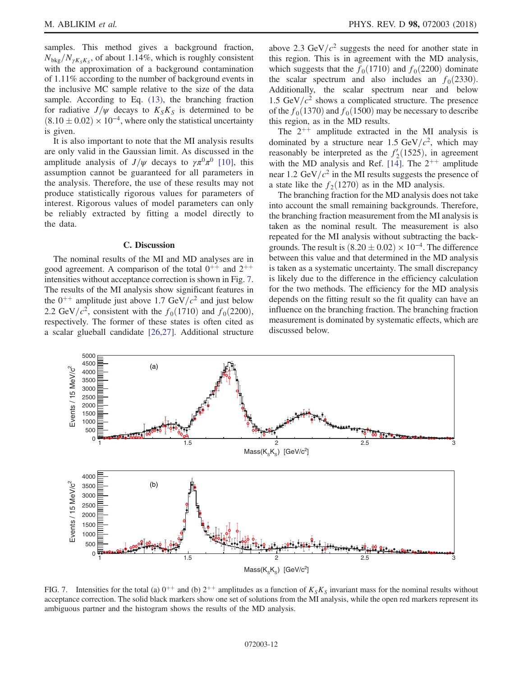samples. This method gives a background fraction,  $N_{\text{bkg}}/N_{\gamma K_{\text{s}}K_{\text{s}}}$ , of about 1.14%, which is roughly consistent with the approximation of a background contamination of 1.11% according to the number of background events in the inclusive MC sample relative to the size of the data sample. According to Eq. [\(13\),](#page-9-1) the branching fraction for radiative  $J/\psi$  decays to  $K_S K_S$  is determined to be  $(8.10 \pm 0.02) \times 10^{-4}$ , where only the statistical uncertainty is given is given.

It is also important to note that the MI analysis results are only valid in the Gaussian limit. As discussed in the amplitude analysis of  $J/\psi$  decays to  $\gamma \pi^0 \pi^0$  [\[10\]](#page-14-6), this assumption cannot be guaranteed for all parameters in the analysis. Therefore, the use of these results may not produce statistically rigorous values for parameters of interest. Rigorous values of model parameters can only be reliably extracted by fitting a model directly to the data.

#### C. Discussion

The nominal results of the MI and MD analyses are in good agreement. A comparison of the total  $0^{++}$  and  $2^{++}$ intensities without acceptance correction is shown in Fig. [7](#page-11-0). The results of the MI analysis show significant features in the  $0^{++}$  amplitude just above 1.7 GeV/ $c^2$  and just below 2.2 GeV/ $c^2$ , consistent with the  $f_0(1710)$  and  $f_0(2200)$ , respectively. The former of these states is often cited as a scalar glueball candidate [\[26,27\].](#page-14-21) Additional structure above 2.3 GeV/ $c^2$  suggests the need for another state in this region. This is in agreement with the MD analysis, which suggests that the  $f_0(1710)$  and  $f_0(2200)$  dominate the scalar spectrum and also includes an  $f_0(2330)$ . Additionally, the scalar spectrum near and below 1.5 GeV/ $c^2$  shows a complicated structure. The presence of the  $f_0(1370)$  and  $f_0(1500)$  may be necessary to describe this region, as in the MD results.

The  $2^{++}$  amplitude extracted in the MI analysis is dominated by a structure near 1.5 GeV/ $c^2$ , which may reasonably be interpreted as the  $f'_{2}(1525)$ , in agreement<br>with the MD analysis and Ref. [14] The 2<sup>++</sup> amplitude with the MD analysis and Ref. [\[14\].](#page-14-10) The  $2^{++}$  amplitude near 1.2 GeV/ $c^2$  in the MI results suggests the presence of a state like the  $f_2(1270)$  as in the MD analysis.

The branching fraction for the MD analysis does not take into account the small remaining backgrounds. Therefore, the branching fraction measurement from the MI analysis is taken as the nominal result. The measurement is also repeated for the MI analysis without subtracting the backgrounds. The result is  $(8.20 \pm 0.02) \times 10^{-4}$ . The difference<br>between this value and that determined in the MD analysis between this value and that determined in the MD analysis is taken as a systematic uncertainty. The small discrepancy is likely due to the difference in the efficiency calculation for the two methods. The efficiency for the MD analysis depends on the fitting result so the fit quality can have an influence on the branching fraction. The branching fraction measurement is dominated by systematic effects, which are discussed below.

<span id="page-11-0"></span>

FIG. 7. Intensities for the total (a)  $0^{++}$  and (b)  $2^{++}$  amplitudes as a function of  $K_S K_S$  invariant mass for the nominal results without acceptance correction. The solid black markers show one set of solutions from the MI analysis, while the open red markers represent its ambiguous partner and the histogram shows the results of the MD analysis.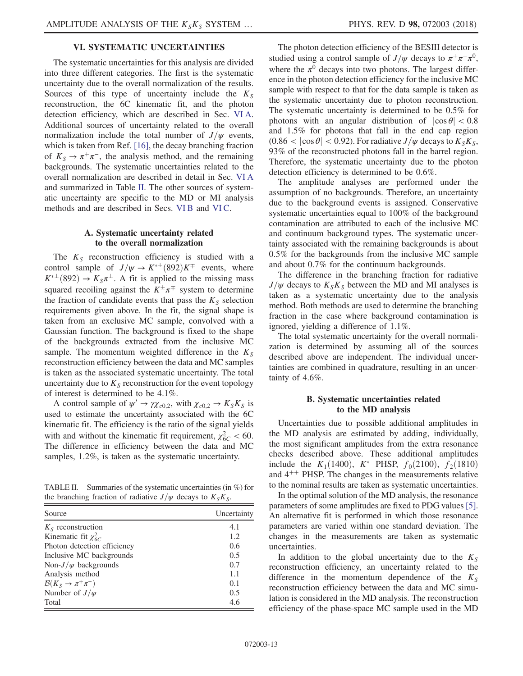# VI. SYSTEMATIC UNCERTAINTIES

The systematic uncertainties for this analysis are divided into three different categories. The first is the systematic uncertainty due to the overall normalization of the results. Sources of this type of uncertainty include the  $K<sub>S</sub>$ reconstruction, the 6C kinematic fit, and the photon detection efficiency, which are described in Sec. [VI A](#page-12-0). Additional sources of uncertainty related to the overall normalization include the total number of  $J/\psi$  events, which is taken from Ref. [\[16\],](#page-14-12) the decay branching fraction of  $K_S \rightarrow \pi^+\pi^-$ , the analysis method, and the remaining backgrounds. The systematic uncertainties related to the overall normalization are described in detail in Sec. [VI A](#page-12-0) and summarized in Table [II.](#page-12-1) The other sources of systematic uncertainty are specific to the MD or MI analysis methods and are described in Secs. [VI B](#page-12-2) and [VI C.](#page-13-0)

## A. Systematic uncertainty related to the overall normalization

<span id="page-12-0"></span>The  $K<sub>S</sub>$  reconstruction efficiency is studied with a control sample of  $J/\psi \to K^{*\pm} (892) K^{\mp}$  events, where  $K^{*\pm} (892) \to K^{-} \pi^{\pm}$ . A fit is applied to the missing mass  $K^{*\pm}(892) \rightarrow K_S \pi^{\pm}$ . A fit is applied to the missing mass<br>sourced recolling against the  $K^{\pm} \pi^{\mp}$  system to determine squared recoiling against the  $K^{\pm} \pi^{\mp}$  system to determine the fraction of candidate events that pass the  $K_S$  selection requirements given above. In the fit, the signal shape is taken from an exclusive MC sample, convolved with a Gaussian function. The background is fixed to the shape of the backgrounds extracted from the inclusive MC sample. The momentum weighted difference in the  $K<sub>S</sub>$ reconstruction efficiency between the data and MC samples is taken as the associated systematic uncertainty. The total uncertainty due to  $K<sub>S</sub>$  reconstruction for the event topology of interest is determined to be 4.1%.

A control sample of  $\psi' \to \gamma \chi_{c0,2}$ , with  $\chi_{c0,2} \to K_S K_S$  is used to estimate the uncertainty associated with the 6C kinematic fit. The efficiency is the ratio of the signal yields with and without the kinematic fit requirement,  $\chi^2_{6C} < 60$ . The difference in efficiency between the data and MC samples, 1.2%, is taken as the systematic uncertainty.

<span id="page-12-1"></span>TABLE II. Summaries of the systematic uncertainties (in %) for the branching fraction of radiative  $J/\psi$  decays to  $K_S K_S$ .

| Source                                   | Uncertainty |  |
|------------------------------------------|-------------|--|
| $K_s$ reconstruction                     | 4.1         |  |
| Kinematic fit $\chi^2_{6C}$              | 1.2         |  |
| Photon detection efficiency              | 0.6         |  |
| Inclusive MC backgrounds                 | 0.5         |  |
| Non- $J/\psi$ backgrounds                | 0.7         |  |
| Analysis method                          | 1.1         |  |
| $\mathcal{B}(K_{S} \to \pi^{+} \pi^{-})$ | 0.1         |  |
| Number of $J/\psi$                       | 0.5         |  |
| Total                                    | 4.6         |  |

The photon detection efficiency of the BESIII detector is studied using a control sample of  $J/\psi$  decays to  $\pi^+\pi^-\pi^0$ , where the  $\pi^0$  decays into two photons. The largest difference in the photon detection efficiency for the inclusive MC sample with respect to that for the data sample is taken as the systematic uncertainty due to photon reconstruction. The systematic uncertainty is determined to be 0.5% for photons with an angular distribution of  $|\cos \theta| < 0.8$ and 1.5% for photons that fall in the end cap region  $(0.86 < |\cos \theta| < 0.92)$ . For radiative  $J/\psi$  decays to  $K_S K_S$ , 93% of the reconstructed photons fall in the barrel region. Therefore, the systematic uncertainty due to the photon detection efficiency is determined to be 0.6%.

The amplitude analyses are performed under the assumption of no backgrounds. Therefore, an uncertainty due to the background events is assigned. Conservative systematic uncertainties equal to 100% of the background contamination are attributed to each of the inclusive MC and continuum background types. The systematic uncertainty associated with the remaining backgrounds is about 0.5% for the backgrounds from the inclusive MC sample and about 0.7% for the continuum backgrounds.

The difference in the branching fraction for radiative  $J/\psi$  decays to  $K_S K_S$  between the MD and MI analyses is taken as a systematic uncertainty due to the analysis method. Both methods are used to determine the branching fraction in the case where background contamination is ignored, yielding a difference of 1.1%.

The total systematic uncertainty for the overall normalization is determined by assuming all of the sources described above are independent. The individual uncertainties are combined in quadrature, resulting in an uncertainty of 4.6%.

## B. Systematic uncertainties related to the MD analysis

<span id="page-12-2"></span>Uncertainties due to possible additional amplitudes in the MD analysis are estimated by adding, individually, the most significant amplitudes from the extra resonance checks described above. These additional amplitudes include the  $K_1(1400)$ ,  $K^*$  PHSP,  $f_0(2100)$ ,  $f_2(1810)$ and  $4^{++}$  PHSP. The changes in the measurements relative to the nominal results are taken as systematic uncertainties.

In the optimal solution of the MD analysis, the resonance parameters of some amplitudes are fixed to PDG values [\[5\]](#page-14-1). An alternative fit is performed in which those resonance parameters are varied within one standard deviation. The changes in the measurements are taken as systematic uncertainties.

In addition to the global uncertainty due to the  $K<sub>S</sub>$ reconstruction efficiency, an uncertainty related to the difference in the momentum dependence of the  $K<sub>S</sub>$ reconstruction efficiency between the data and MC simulation is considered in the MD analysis. The reconstruction efficiency of the phase-space MC sample used in the MD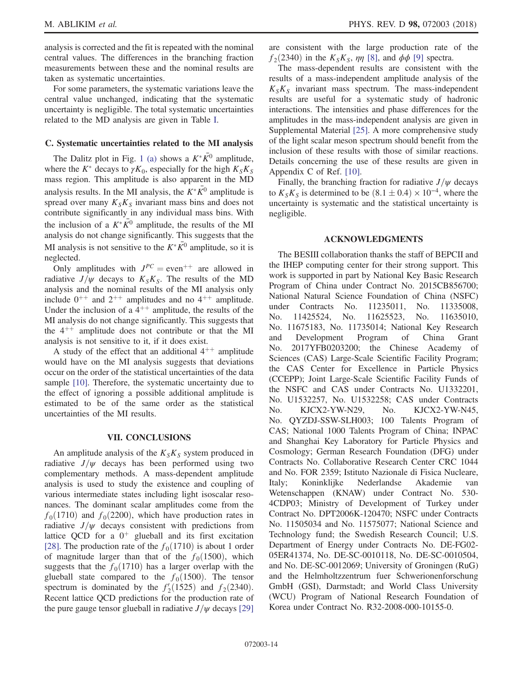analysis is corrected and the fit is repeated with the nominal central values. The differences in the branching fraction measurements between these and the nominal results are taken as systematic uncertainties.

For some parameters, the systematic variations leave the central value unchanged, indicating that the systematic uncertainty is negligible. The total systematic uncertainties related to the MD analysis are given in Table [I.](#page-6-0)

## <span id="page-13-0"></span>C. Systematic uncertainties related to the MI analysis

The Dalitz plot in Fig. [1 \(a\)](#page-4-0) shows a  $K^*K^0$  amplitude, where the  $K^*$  decays to  $\gamma K_0$ , especially for the high  $K_S K_S$ mass region. This amplitude is also apparent in the MD analysis results. In the MI analysis, the  $K^*\bar{K^0}$  amplitude is spread over many  $K_S K_S$  invariant mass bins and does not contribute significantly in any individual mass bins. With the inclusion of a  $K^*\bar{K}^0$  amplitude, the results of the MI analysis do not change significantly. This suggests that the MI analysis is not sensitive to the  $K^*\overline{K}^0$  amplitude, so it is neglected.

Only amplitudes with  $J^{PC}$  = even<sup>++</sup> are allowed in radiative  $J/\psi$  decays to  $K_S K_S$ . The results of the MD analysis and the nominal results of the MI analysis only include  $0^{++}$  and  $2^{++}$  amplitudes and no  $4^{++}$  amplitude. Under the inclusion of a  $4^{++}$  amplitude, the results of the MI analysis do not change significantly. This suggests that the  $4^{++}$  amplitude does not contribute or that the MI analysis is not sensitive to it, if it does exist.

A study of the effect that an additional  $4^{++}$  amplitude would have on the MI analysis suggests that deviations occur on the order of the statistical uncertainties of the data sample [\[10\]](#page-14-6). Therefore, the systematic uncertainty due to the effect of ignoring a possible additional amplitude is estimated to be of the same order as the statistical uncertainties of the MI results.

### VII. CONCLUSIONS

An amplitude analysis of the  $K_S K_S$  system produced in radiative  $J/\psi$  decays has been performed using two complementary methods. A mass-dependent amplitude analysis is used to study the existence and coupling of various intermediate states including light isoscalar resonances. The dominant scalar amplitudes come from the  $f_0(1710)$  and  $f_0(2200)$ , which have production rates in radiative  $J/\psi$  decays consistent with predictions from lattice QCD for a  $0^+$  glueball and its first excitation [\[28\]](#page-14-22). The production rate of the  $f_0(1710)$  is about 1 order of magnitude larger than that of the  $f_0(1500)$ , which suggests that the  $f_0(1710)$  has a larger overlap with the glueball state compared to the  $f_0(1500)$ . The tensor spectrum is dominated by the  $f_2(1525)$  and  $f_2(2340)$ .<br>Recent lattice OCD predictions for the production rate of Recent lattice QCD predictions for the production rate of the pure gauge tensor glueball in radiative  $J/\psi$  decays [\[29\]](#page-14-23) are consistent with the large production rate of the  $f_2(2340)$  in the  $K_S K_S$ ,  $\eta \eta$  [\[8\]](#page-14-4), and  $\phi \phi$  [\[9\]](#page-14-5) spectra.

The mass-dependent results are consistent with the results of a mass-independent amplitude analysis of the  $K_S K_S$  invariant mass spectrum. The mass-independent results are useful for a systematic study of hadronic interactions. The intensities and phase differences for the amplitudes in the mass-independent analysis are given in Supplemental Material [\[25\].](#page-14-20) A more comprehensive study of the light scalar meson spectrum should benefit from the inclusion of these results with those of similar reactions. Details concerning the use of these results are given in Appendix C of Ref. [\[10\]](#page-14-6).

Finally, the branching fraction for radiative  $J/\psi$  decays to  $K_S K_S$  is determined to be  $(8.1 \pm 0.4) \times 10^{-4}$ , where the uncertainty is systematic and the statistical uncertainty is uncertainty is systematic and the statistical uncertainty is negligible.

# ACKNOWLEDGMENTS

The BESIII collaboration thanks the staff of BEPCII and the IHEP computing center for their strong support. This work is supported in part by National Key Basic Research Program of China under Contract No. 2015CB856700; National Natural Science Foundation of China (NSFC) under Contracts No. 11235011, No. 11335008, No. 11425524, No. 11625523, No. 11635010, No. 11675183, No. 11735014; National Key Research and Development Program of China Grant No. 2017YFB0203200; the Chinese Academy of Sciences (CAS) Large-Scale Scientific Facility Program; the CAS Center for Excellence in Particle Physics (CCEPP); Joint Large-Scale Scientific Facility Funds of the NSFC and CAS under Contracts No. U1332201, No. U1532257, No. U1532258; CAS under Contracts No. KJCX2-YW-N29, No. KJCX2-YW-N45, No. QYZDJ-SSW-SLH003; 100 Talents Program of CAS; National 1000 Talents Program of China; INPAC and Shanghai Key Laboratory for Particle Physics and Cosmology; German Research Foundation (DFG) under Contracts No. Collaborative Research Center CRC 1044 and No. FOR 2359; Istituto Nazionale di Fisica Nucleare, Italy; Koninklijke Nederlandse Akademie van Wetenschappen (KNAW) under Contract No. 530- 4CDP03; Ministry of Development of Turkey under Contract No. DPT2006K-120470; NSFC under Contracts No. 11505034 and No. 11575077; National Science and Technology fund; the Swedish Research Council; U.S. Department of Energy under Contracts No. DE-FG02- 05ER41374, No. DE-SC-0010118, No. DE-SC-0010504, and No. DE-SC-0012069; University of Groningen (RuG) and the Helmholtzzentrum fuer Schwerionenforschung GmbH (GSI), Darmstadt; and World Class University (WCU) Program of National Research Foundation of Korea under Contract No. R32-2008-000-10155-0.